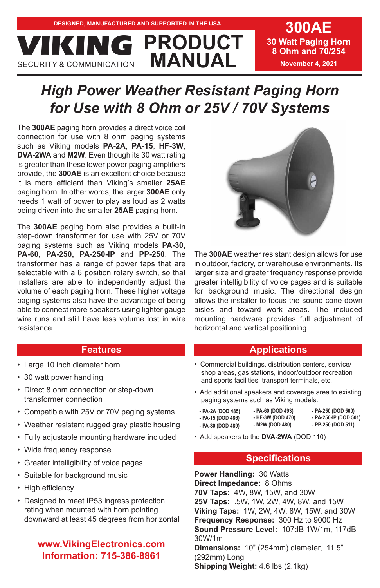**30 Watt Paging Horn 8 Ohm and 70/254 November 4, 2021**

# *High Power Weather Resistant Paging Horn for Use with 8 Ohm or 25V / 70V Systems*

**PRODUCT**

The **300AE** paging horn provides a direct voice coil connection for use with 8 ohm paging systems such as Viking models **PA-2A**, **PA-15**, **HF-3W**, **DVA-2WA** and **M2W**. Even though its 30 watt rating is greater than these lower power paging amplifiers provide, the **300AE** is an excellent choice because it is more efficient than Viking's smaller **25AE** paging horn. In other words, the larger **300AE** only needs 1 watt of power to play as loud as 2 watts being driven into the smaller **25AE** paging horn.

**MANUAL MANUAL VICION COMMUNICATION** 

The **300AE** paging horn also provides a built-in step-down transformer for use with 25V or 70V paging systems such as Viking models **PA-30, PA-60, PA-250, PA-250-IP** and **PP-250**. The transformer has a range of power taps that are selectable with a 6 position rotary switch, so that installers are able to independently adjust the volume of each paging horn. These higher voltage paging systems also have the advantage of being able to connect more speakers using lighter gauge wire runs and still have less volume lost in wire resistance.

# **Features**

- Large 10 inch diameter horn
- 30 watt power handling
- Direct 8 ohm connection or step-down transformer connection
- Compatible with 25V or 70V paging systems
- Weather resistant rugged gray plastic housing
- Fully adjustable mounting hardware included
- Wide frequency response
- Greater intelligibility of voice pages
- Suitable for background music
- High efficiency
- Designed to meet IP53 ingress protection rating when mounted with horn pointing downward at least 45 degrees from horizontal

# **www.VikingElectronics.com Information: 715-386-8861**



The **300AE** weather resistant design allows for use in outdoor, factory, or warehouse environments. Its larger size and greater frequency response provide greater intelligibility of voice pages and is suitable for background music. The directional design allows the installer to focus the sound cone down aisles and toward work areas. The included mounting hardware provides full adjustment of horizontal and vertical positioning.

# **Applications**

- Commercial buildings, distribution centers, service/ shop areas, gas stations, indoor/outdoor recreation and sports facilities, transport terminals, etc.
- Add additional speakers and coverage area to existing paging systems such as Viking models:
	- **PA-2A (DOD 485) - PA-15 (DOD 486) - PA-30 (DOD 489) - PA-60 (DOD 493) - HF-3W (DOD 470) - M2W (DOD 480)**
		- **PA-250 (DOD 500) - PA-250-IP (DOD 501)**
		- **PP-250 (DOD 511)**
- Add speakers to the **DVA-2WA** (DOD 110)

# **Specifications**

**Power Handling:** 30 Watts **Direct Impedance:** 8 Ohms **70V Taps:** 4W, 8W, 15W, and 30W **25V Taps:** .5W, 1W, 2W, 4W, 8W, and 15W **Viking Taps:** 1W, 2W, 4W, 8W, 15W, and 30W **Frequency Response:** 300 Hz to 9000 Hz **Sound Pressure Level:** 107dB 1W/1m, 117dB 30W/1m **Dimensions:** 10" (254mm) diameter, 11.5" (292mm) Long

**Shipping Weight:** 4.6 lbs (2.1kg)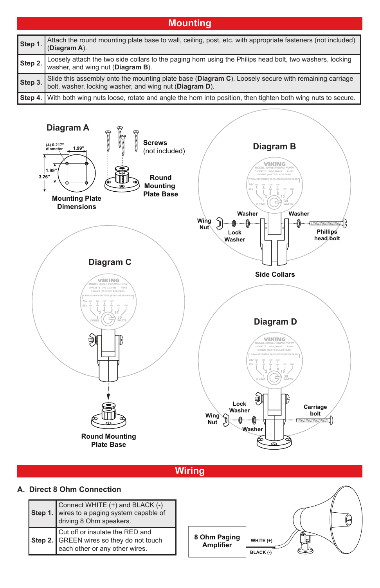| <b>Mounting</b> |                                                                                                                                                              |  |  |  |
|-----------------|--------------------------------------------------------------------------------------------------------------------------------------------------------------|--|--|--|
| Step 1          | Attach the round mounting plate base to wall, ceiling, post, etc. with appropriate fasteners (not included)<br>(Diagram A).                                  |  |  |  |
| Step 2.         | Loosely attach the two side collars to the paging horn using the Philips head bolt, two washers, locking<br>washer, and wing nut (Diagram B).                |  |  |  |
| Step 3.         | Slide this assembly onto the mounting plate base (Diagram C). Loosely secure with remaining carriage bolt, washer, locking washer, and wing nut (Diagram D). |  |  |  |
|                 | Step 4. With both wing nuts loose, rotate and angle the horn into position, then tighten both wing nuts to secure.                                           |  |  |  |



**Wiring**

# **A. Direct 8 Ohm Connection**

| Connect WHITE (+) and BLACK (-)<br>Step 1. wires to a paging system capable of<br>driving 8 Ohm speakers.             |
|-----------------------------------------------------------------------------------------------------------------------|
| Step 2. Cut off or insulate the RED and<br>Step 2. GREEN wires so they do not touch<br>each other or any other wires. |

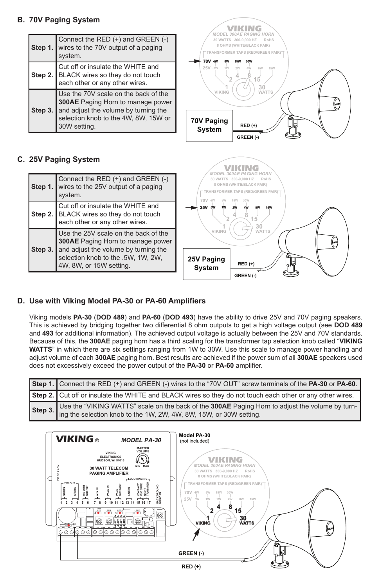## **B. 70V Paging System**

| Step 1. | Connect the RED (+) and GREEN (-)<br>wires to the 70V output of a paging<br>system.                                                                                       |
|---------|---------------------------------------------------------------------------------------------------------------------------------------------------------------------------|
| Step 2. | Cut off or insulate the WHITE and<br>BLACK wires so they do not touch<br>each other or any other wires.                                                                   |
| Step 3. | Use the 70V scale on the back of the<br>300AE Paging Horn to manage power<br>and adjust the volume by turning the<br>selection knob to the 4W, 8W, 15W or<br>30W setting. |



C

Į

*MODEL 300AE PAGING HORN* VIKING

## **C. 25V Paging System**

| Step 3. | each other or any other wires.<br>Use the 25V scale on the back of the<br><b>300AE</b> Paging Horn to manage power<br>and adjust the volume by turning the<br>selection knob to the .5W, 1W, 2W,<br>4W, 8W, or 15W setting. | 30<br><b>VIKING</b><br><b>WATTS</b><br>ൈ<br>25V Paging<br>$RED (+)$<br>System                       |
|---------|-----------------------------------------------------------------------------------------------------------------------------------------------------------------------------------------------------------------------------|-----------------------------------------------------------------------------------------------------|
|         | system.<br>Cut off or insulate the WHITE and<br>Step 2. BLACK wires so they do not touch                                                                                                                                    | TRANSFORMER TAPS (RED/GREEN PAIR)<br>70 V<br>25V 5W<br>15                                           |
|         | Connect the RED (+) and GREEN (-)<br>Step 1. wires to the 25V output of a paging                                                                                                                                            | <b><i>MODEL 300AF PAGING HORN</i></b><br>30 WATTS 300-9,000 HZ<br>RoHS<br>8 OHMS (WHITE/BLACK PAIR) |

## **D. Use with Viking Model PA-30 or PA-60 Amplifiers**

Viking models **PA-30** (**DOD 489**) and **PA-60** (**DOD 493**) have the ability to drive 25V and 70V paging speakers. This is achieved by bridging together two differential 8 ohm outputs to get a high voltage output (see **DOD 489** and **493** for additional information). The achieved output voltage is actually between the 25V and 70V standards. Because of this, the **300AE** paging horn has a third scaling for the transformer tap selection knob called "**VIKING WATTS**" in which there are six settings ranging from 1W to 30W. Use this scale to manage power handling and adjust volume of each **300AE** paging horn. Best results are achieved if the power sum of all **300AE** speakers used does not excessively exceed the power output of the **PA-30** or **PA-60** amplifier.

| Step 1. Connect the RED (+) and GREEN (-) wires to the "70V OUT" screw terminals of the PA-30 or PA-60.                                                                        |
|--------------------------------------------------------------------------------------------------------------------------------------------------------------------------------|
| Step 2. Cut off or insulate the WHITE and BLACK wires so they do not touch each other or any other wires.                                                                      |
| Step 3. Use the "VIKING WATTS" scale on the back of the 300AE Paging Horn to adjust the volume by turn-<br>ling the selection knob to the 1W, 2W, 4W, 8W, 15W, or 30W setting. |